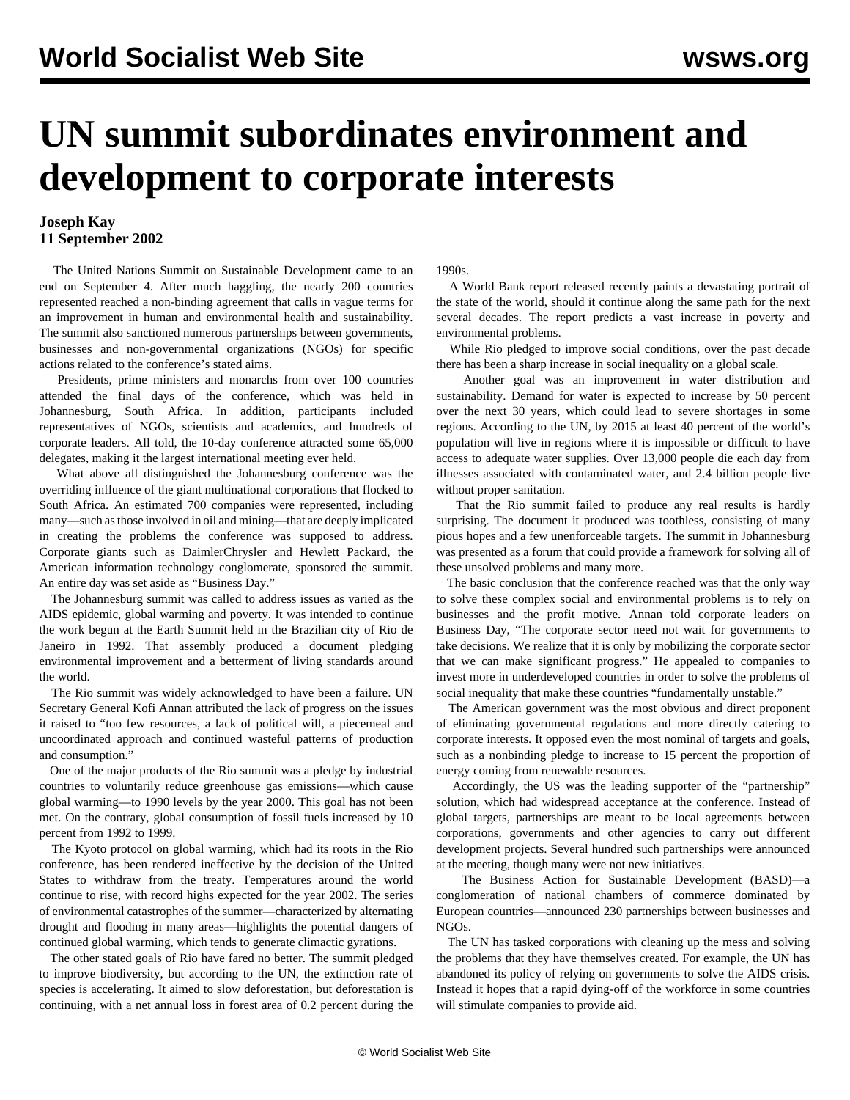## **UN summit subordinates environment and development to corporate interests**

## **Joseph Kay 11 September 2002**

 The United Nations Summit on Sustainable Development came to an end on September 4. After much haggling, the nearly 200 countries represented reached a non-binding agreement that calls in vague terms for an improvement in human and environmental health and sustainability. The summit also sanctioned numerous partnerships between governments, businesses and non-governmental organizations (NGOs) for specific actions related to the conference's stated aims.

 Presidents, prime ministers and monarchs from over 100 countries attended the final days of the conference, which was held in Johannesburg, South Africa. In addition, participants included representatives of NGOs, scientists and academics, and hundreds of corporate leaders. All told, the 10-day conference attracted some 65,000 delegates, making it the largest international meeting ever held.

 What above all distinguished the Johannesburg conference was the overriding influence of the giant multinational corporations that flocked to South Africa. An estimated 700 companies were represented, including many—such as those involved in oil and mining—that are deeply implicated in creating the problems the conference was supposed to address. Corporate giants such as DaimlerChrysler and Hewlett Packard, the American information technology conglomerate, sponsored the summit. An entire day was set aside as "Business Day."

 The Johannesburg summit was called to address issues as varied as the AIDS epidemic, global warming and poverty. It was intended to continue the work begun at the Earth Summit held in the Brazilian city of Rio de Janeiro in 1992. That assembly produced a document pledging environmental improvement and a betterment of living standards around the world.

 The Rio summit was widely acknowledged to have been a failure. UN Secretary General Kofi Annan attributed the lack of progress on the issues it raised to "too few resources, a lack of political will, a piecemeal and uncoordinated approach and continued wasteful patterns of production and consumption."

 One of the major products of the Rio summit was a pledge by industrial countries to voluntarily reduce greenhouse gas emissions—which cause global warming—to 1990 levels by the year 2000. This goal has not been met. On the contrary, global consumption of fossil fuels increased by 10 percent from 1992 to 1999.

 The Kyoto protocol on global warming, which had its roots in the Rio conference, has been rendered ineffective by the decision of the United States to withdraw from the treaty. Temperatures around the world continue to rise, with record highs expected for the year 2002. The series of environmental catastrophes of the summer—characterized by alternating drought and flooding in many areas—highlights the potential dangers of continued global warming, which tends to generate climactic gyrations.

 The other stated goals of Rio have fared no better. The summit pledged to improve biodiversity, but according to the UN, the extinction rate of species is accelerating. It aimed to slow deforestation, but deforestation is continuing, with a net annual loss in forest area of 0.2 percent during the

1990s.

 A World Bank report released recently paints a devastating portrait of the state of the world, should it continue along the same path for the next several decades. The report predicts a vast increase in poverty and environmental problems.

 While Rio pledged to improve social conditions, over the past decade there has been a sharp increase in social inequality on a global scale.

 Another goal was an improvement in water distribution and sustainability. Demand for water is expected to increase by 50 percent over the next 30 years, which could lead to severe shortages in some regions. According to the UN, by 2015 at least 40 percent of the world's population will live in regions where it is impossible or difficult to have access to adequate water supplies. Over 13,000 people die each day from illnesses associated with contaminated water, and 2.4 billion people live without proper sanitation.

 That the Rio summit failed to produce any real results is hardly surprising. The document it produced was toothless, consisting of many pious hopes and a few unenforceable targets. The summit in Johannesburg was presented as a forum that could provide a framework for solving all of these unsolved problems and many more.

 The basic conclusion that the conference reached was that the only way to solve these complex social and environmental problems is to rely on businesses and the profit motive. Annan told corporate leaders on Business Day, "The corporate sector need not wait for governments to take decisions. We realize that it is only by mobilizing the corporate sector that we can make significant progress." He appealed to companies to invest more in underdeveloped countries in order to solve the problems of social inequality that make these countries "fundamentally unstable."

 The American government was the most obvious and direct proponent of eliminating governmental regulations and more directly catering to corporate interests. It opposed even the most nominal of targets and goals, such as a nonbinding pledge to increase to 15 percent the proportion of energy coming from renewable resources.

 Accordingly, the US was the leading supporter of the "partnership" solution, which had widespread acceptance at the conference. Instead of global targets, partnerships are meant to be local agreements between corporations, governments and other agencies to carry out different development projects. Several hundred such partnerships were announced at the meeting, though many were not new initiatives.

 The Business Action for Sustainable Development (BASD)—a conglomeration of national chambers of commerce dominated by European countries—announced 230 partnerships between businesses and NGOs.

 The UN has tasked corporations with cleaning up the mess and solving the problems that they have themselves created. For example, the UN has abandoned its policy of relying on governments to solve the AIDS crisis. Instead it hopes that a rapid dying-off of the workforce in some countries will stimulate companies to provide aid.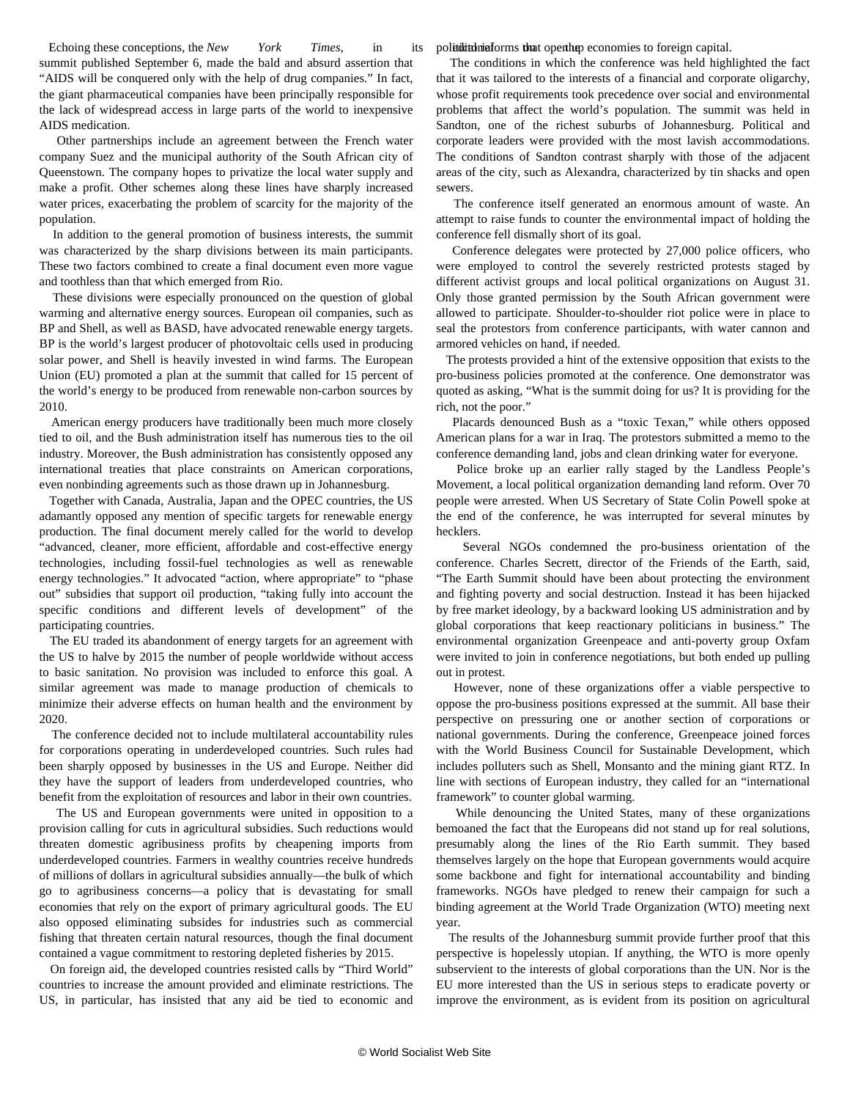political reforms that open http economies to foreign capital.

Echoing these conceptions, the *New York Times*, in its summit published September 6, made the bald and absurd assertion that "AIDS will be conquered only with the help of drug companies." In fact, the giant pharmaceutical companies have been principally responsible for the lack of widespread access in large parts of the world to inexpensive AIDS medication.

 Other partnerships include an agreement between the French water company Suez and the municipal authority of the South African city of Queenstown. The company hopes to privatize the local water supply and make a profit. Other schemes along these lines have sharply increased water prices, exacerbating the problem of scarcity for the majority of the population.

 In addition to the general promotion of business interests, the summit was characterized by the sharp divisions between its main participants. These two factors combined to create a final document even more vague and toothless than that which emerged from Rio.

 These divisions were especially pronounced on the question of global warming and alternative energy sources. European oil companies, such as BP and Shell, as well as BASD, have advocated renewable energy targets. BP is the world's largest producer of photovoltaic cells used in producing solar power, and Shell is heavily invested in wind farms. The European Union (EU) promoted a plan at the summit that called for 15 percent of the world's energy to be produced from renewable non-carbon sources by 2010.

 American energy producers have traditionally been much more closely tied to oil, and the Bush administration itself has numerous ties to the oil industry. Moreover, the Bush administration has consistently opposed any international treaties that place constraints on American corporations, even nonbinding agreements such as those drawn up in Johannesburg.

 Together with Canada, Australia, Japan and the OPEC countries, the US adamantly opposed any mention of specific targets for renewable energy production. The final document merely called for the world to develop "advanced, cleaner, more efficient, affordable and cost-effective energy technologies, including fossil-fuel technologies as well as renewable energy technologies." It advocated "action, where appropriate" to "phase out" subsidies that support oil production, "taking fully into account the specific conditions and different levels of development" of the participating countries.

 The EU traded its abandonment of energy targets for an agreement with the US to halve by 2015 the number of people worldwide without access to basic sanitation. No provision was included to enforce this goal. A similar agreement was made to manage production of chemicals to minimize their adverse effects on human health and the environment by 2020.

 The conference decided not to include multilateral accountability rules for corporations operating in underdeveloped countries. Such rules had been sharply opposed by businesses in the US and Europe. Neither did they have the support of leaders from underdeveloped countries, who benefit from the exploitation of resources and labor in their own countries.

 The US and European governments were united in opposition to a provision calling for cuts in agricultural subsidies. Such reductions would threaten domestic agribusiness profits by cheapening imports from underdeveloped countries. Farmers in wealthy countries receive hundreds of millions of dollars in agricultural subsidies annually—the bulk of which go to agribusiness concerns—a policy that is devastating for small economies that rely on the export of primary agricultural goods. The EU also opposed eliminating subsides for industries such as commercial fishing that threaten certain natural resources, though the final document contained a vague commitment to restoring depleted fisheries by 2015.

 On foreign aid, the developed countries resisted calls by "Third World" countries to increase the amount provided and eliminate restrictions. The US, in particular, has insisted that any aid be tied to economic and

 The conditions in which the conference was held highlighted the fact that it was tailored to the interests of a financial and corporate oligarchy, whose profit requirements took precedence over social and environmental problems that affect the world's population. The summit was held in Sandton, one of the richest suburbs of Johannesburg. Political and corporate leaders were provided with the most lavish accommodations. The conditions of Sandton contrast sharply with those of the adjacent areas of the city, such as Alexandra, characterized by tin shacks and open sewers.

 The conference itself generated an enormous amount of waste. An attempt to raise funds to counter the environmental impact of holding the conference fell dismally short of its goal.

 Conference delegates were protected by 27,000 police officers, who were employed to control the severely restricted protests staged by different activist groups and local political organizations on August 31. Only those granted permission by the South African government were allowed to participate. Shoulder-to-shoulder riot police were in place to seal the protestors from conference participants, with water cannon and armored vehicles on hand, if needed.

 The protests provided a hint of the extensive opposition that exists to the pro-business policies promoted at the conference. One demonstrator was quoted as asking, "What is the summit doing for us? It is providing for the rich, not the poor."

 Placards denounced Bush as a "toxic Texan," while others opposed American plans for a war in Iraq. The protestors submitted a memo to the conference demanding land, jobs and clean drinking water for everyone.

 Police broke up an earlier rally staged by the Landless People's Movement, a local political organization demanding land reform. Over 70 people were arrested. When US Secretary of State Colin Powell spoke at the end of the conference, he was interrupted for several minutes by hecklers.

 Several NGOs condemned the pro-business orientation of the conference. Charles Secrett, director of the Friends of the Earth, said, "The Earth Summit should have been about protecting the environment and fighting poverty and social destruction. Instead it has been hijacked by free market ideology, by a backward looking US administration and by global corporations that keep reactionary politicians in business." The environmental organization Greenpeace and anti-poverty group Oxfam were invited to join in conference negotiations, but both ended up pulling out in protest.

 However, none of these organizations offer a viable perspective to oppose the pro-business positions expressed at the summit. All base their perspective on pressuring one or another section of corporations or national governments. During the conference, Greenpeace joined forces with the World Business Council for Sustainable Development, which includes polluters such as Shell, Monsanto and the mining giant RTZ. In line with sections of European industry, they called for an "international framework" to counter global warming.

 While denouncing the United States, many of these organizations bemoaned the fact that the Europeans did not stand up for real solutions, presumably along the lines of the Rio Earth summit. They based themselves largely on the hope that European governments would acquire some backbone and fight for international accountability and binding frameworks. NGOs have pledged to renew their campaign for such a binding agreement at the World Trade Organization (WTO) meeting next year.

 The results of the Johannesburg summit provide further proof that this perspective is hopelessly utopian. If anything, the WTO is more openly subservient to the interests of global corporations than the UN. Nor is the EU more interested than the US in serious steps to eradicate poverty or improve the environment, as is evident from its position on agricultural